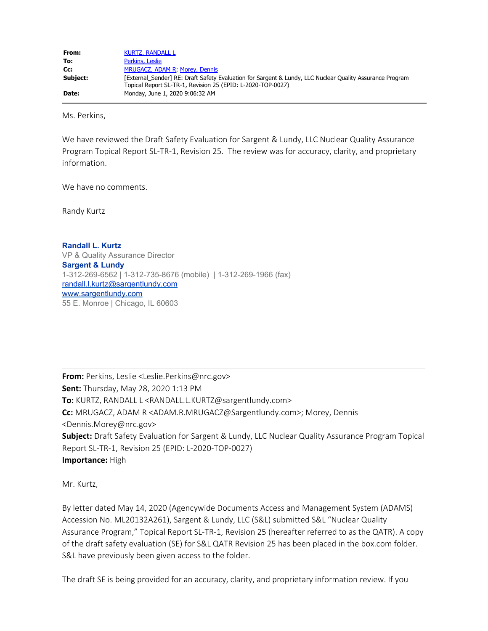| From:    | <b>KURTZ, RANDALL L</b>                                                                                  |
|----------|----------------------------------------------------------------------------------------------------------|
| To:      | Perkins, Leslie                                                                                          |
| Cc:      | MRUGACZ, ADAM R, Morey, Dennis                                                                           |
| Subject: | [External Sender] RE: Draft Safety Evaluation for Sargent & Lundy, LLC Nuclear Quality Assurance Program |
|          | Topical Report SL-TR-1, Revision 25 (EPID: L-2020-TOP-0027)                                              |
| Date:    | Monday, June 1, 2020 9:06:32 AM                                                                          |

Ms. Perkins,

We have reviewed the Draft Safety Evaluation for Sargent & Lundy, LLC Nuclear Quality Assurance Program Topical Report SL-TR-1, Revision 25. The review was for accuracy, clarity, and proprietary information.

We have no comments.

Randy Kurtz

**Randall L. Kurtz** VP & Quality Assurance Director **Sargent & Lundy** 1-312-269-6562 | 1-312-735-8676 (mobile) | 1-312-269-1966 (fax) [randall.l.kurtz@sargentlundy.com](mailto:tira.l.seals@sargentlundy.com) [www.sargentlundy.com](http://www.sargentlundy.com/) 55 E. Monroe | Chicago, IL 60603

**From:** Perkins, Leslie <Leslie.Perkins@nrc.gov> **Sent:** Thursday, May 28, 2020 1:13 PM **To:** KURTZ, RANDALL L <RANDALL.L.KURTZ@sargentlundy.com> **Cc:** MRUGACZ, ADAM R <ADAM.R.MRUGACZ@Sargentlundy.com>; Morey, Dennis <Dennis.Morey@nrc.gov> **Subject:** Draft Safety Evaluation for Sargent & Lundy, LLC Nuclear Quality Assurance Program Topical Report SL-TR-1, Revision 25 (EPID: L-2020-TOP-0027) **Importance:** High

Mr. Kurtz,

By letter dated May 14, 2020 (Agencywide Documents Access and Management System (ADAMS) Accession No. ML20132A261), Sargent & Lundy, LLC (S&L) submitted S&L "Nuclear Quality Assurance Program," Topical Report SL-TR-1, Revision 25 (hereafter referred to as the QATR). A copy of the draft safety evaluation (SE) for S&L QATR Revision 25 has been placed in the box.com folder. S&L have previously been given access to the folder.

The draft SE is being provided for an accuracy, clarity, and proprietary information review. If you